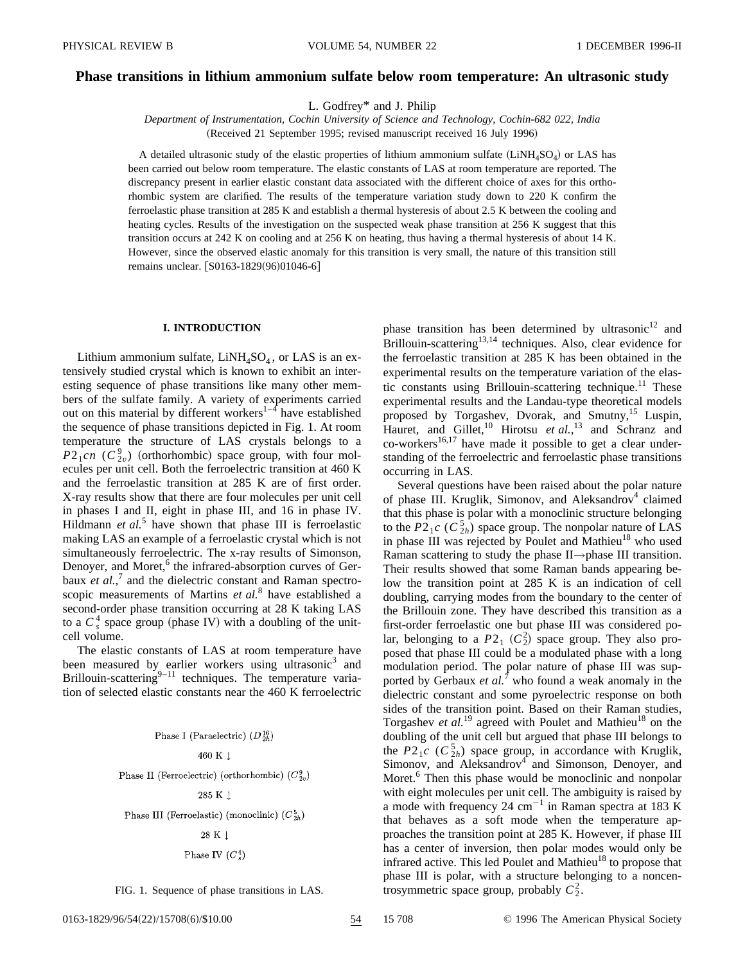# **Phase transitions in lithium ammonium sulfate below room temperature: An ultrasonic study**

L. Godfrey\* and J. Philip

*Department of Instrumentation, Cochin University of Science and Technology, Cochin-682 022, India* (Received 21 September 1995; revised manuscript received 16 July 1996)

A detailed ultrasonic study of the elastic properties of lithium ammonium sulfate  $(LiNH_4SO_4)$  or LAS has been carried out below room temperature. The elastic constants of LAS at room temperature are reported. The discrepancy present in earlier elastic constant data associated with the different choice of axes for this orthorhombic system are clarified. The results of the temperature variation study down to 220 K confirm the ferroelastic phase transition at 285 K and establish a thermal hysteresis of about 2.5 K between the cooling and heating cycles. Results of the investigation on the suspected weak phase transition at 256 K suggest that this transition occurs at 242 K on cooling and at 256 K on heating, thus having a thermal hysteresis of about 14 K. However, since the observed elastic anomaly for this transition is very small, the nature of this transition still remains unclear. [S0163-1829(96)01046-6]

# **I. INTRODUCTION**

Lithium ammonium sulfate,  $LiNH<sub>4</sub>SO<sub>4</sub>$ , or LAS is an extensively studied crystal which is known to exhibit an interesting sequence of phase transitions like many other members of the sulfate family. A variety of experiments carried out on this material by different workers $1-\bar{4}$  have established the sequence of phase transitions depicted in Fig. 1. At room temperature the structure of LAS crystals belongs to a  $P2_1$ *cn* ( $C_{2v}^9$ ) (orthorhombic) space group, with four molecules per unit cell. Both the ferroelectric transition at 460 K and the ferroelastic transition at 285 K are of first order. X-ray results show that there are four molecules per unit cell in phases I and II, eight in phase III, and 16 in phase IV. Hildmann *et al.*<sup>5</sup> have shown that phase III is ferroelastic making LAS an example of a ferroelastic crystal which is not simultaneously ferroelectric. The x-ray results of Simonson, Denoyer, and Moret,<sup>6</sup> the infrared-absorption curves of Gerbaux *et al.*,<sup>7</sup> and the dielectric constant and Raman spectroscopic measurements of Martins *et al.*<sup>8</sup> have established a second-order phase transition occurring at 28 K taking LAS to a  $C_s^4$  space group (phase IV) with a doubling of the unitcell volume.

The elastic constants of LAS at room temperature have been measured by earlier workers using ultrasonic<sup>3</sup> and Brillouin-scattering $9-11$  techniques. The temperature variation of selected elastic constants near the 460 K ferroelectric

### Phase I (Paraelectric)  $(D_{2h}^{16})$

# 460 K 1

Phase II (Ferroelectric) (orthorhombic)  $(C_{2v}^9)$ 

### $285$  K  $\downarrow$

Phase III (Ferroelastic) (monoclinic)  $(C_{2h}^5)$ 

#### 28 K J

## Phase IV  $(C_s^4)$

 $B$ rillouin-scattering<sup>13,14</sup> techniques. Also, clear evidence for the ferroelastic transition at 285 K has been obtained in the experimental results on the temperature variation of the elastic constants using Brillouin-scattering technique.<sup>11</sup> These experimental results and the Landau-type theoretical models proposed by Torgashev, Dvorak, and Smutny,<sup>15</sup> Luspin, Hauret, and Gillet,<sup>10</sup> Hirotsu et al.,<sup>13</sup> and Schranz and  $\text{co-workers}^{16,17}$  have made it possible to get a clear understanding of the ferroelectric and ferroelastic phase transitions occurring in LAS. Several questions have been raised about the polar nature

phase transition has been determined by ultrasonic<sup>12</sup> and

of phase III. Kruglik, Simonov, and Aleksandrov<sup>4</sup> claimed that this phase is polar with a monoclinic structure belonging to the  $P2_1c$  ( $C_{2h}^5$ ) space group. The nonpolar nature of LAS in phase III was rejected by Poulet and Mathieu<sup>18</sup> who used Raman scattering to study the phase II→phase III transition. Their results showed that some Raman bands appearing below the transition point at 285 K is an indication of cell doubling, carrying modes from the boundary to the center of the Brillouin zone. They have described this transition as a first-order ferroelastic one but phase III was considered polar, belonging to a  $P2_1$  ( $C_2^2$ ) space group. They also proposed that phase III could be a modulated phase with a long modulation period. The polar nature of phase III was supported by Gerbaux *et al.*<sup>7</sup> who found a weak anomaly in the dielectric constant and some pyroelectric response on both sides of the transition point. Based on their Raman studies, Torgashev *et al.*<sup>19</sup> agreed with Poulet and Mathieu<sup>18</sup> on the doubling of the unit cell but argued that phase III belongs to the  $P2_1c$  ( $C_{2h}^5$ ) space group, in accordance with Kruglik, Simonov, and Aleksandrov<sup>4</sup> and Simonson, Denoyer, and Moret.<sup>6</sup> Then this phase would be monoclinic and nonpolar with eight molecules per unit cell. The ambiguity is raised by a mode with frequency 24  $\text{cm}^{-1}$  in Raman spectra at 183 K that behaves as a soft mode when the temperature approaches the transition point at 285 K. However, if phase III has a center of inversion, then polar modes would only be infrared active. This led Poulet and Mathieu<sup>18</sup> to propose that phase III is polar, with a structure belonging to a noncen-FIG. 1. Sequence of phase transitions in LAS.  $\qquad \qquad$  trosymmetric space group, probably  $C_2^2$ .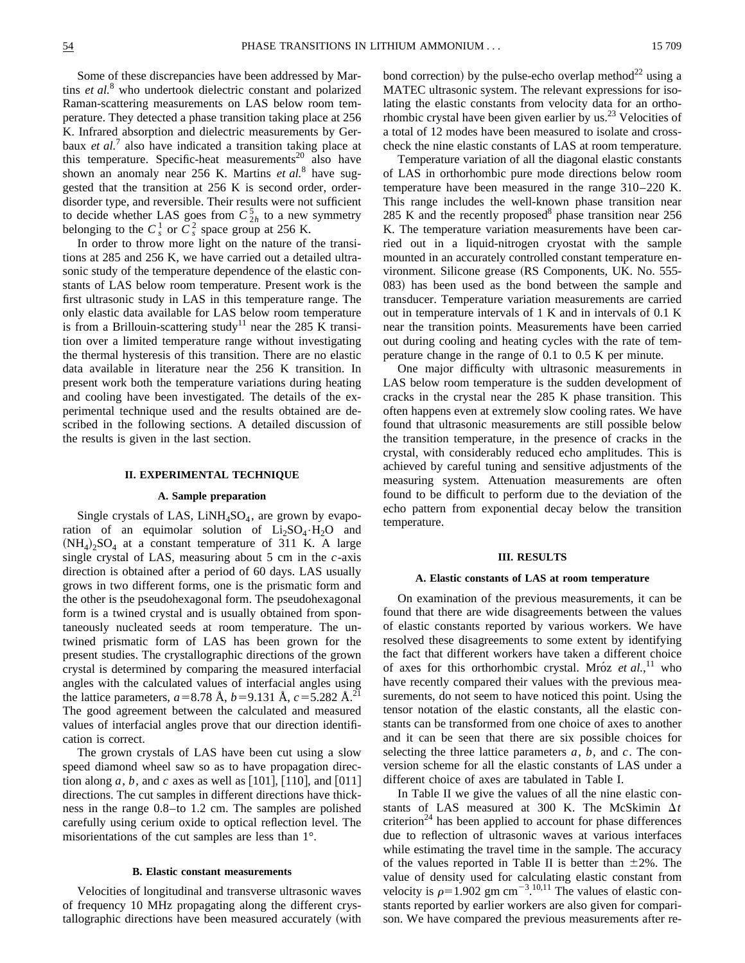Some of these discrepancies have been addressed by Martins *et al.*<sup>8</sup> who undertook dielectric constant and polarized Raman-scattering measurements on LAS below room temperature. They detected a phase transition taking place at 256 K. Infrared absorption and dielectric measurements by Gerbaux *et al.*<sup>7</sup> also have indicated a transition taking place at this temperature. Specific-heat measurements<sup>20</sup> also have shown an anomaly near 256 K. Martins *et al.*<sup>8</sup> have suggested that the transition at 256 K is second order, orderdisorder type, and reversible. Their results were not sufficient to decide whether LAS goes from  $C_{2h}^5$  to a new symmetry belonging to the  $C_s^1$  or  $C_s^2$  space group at 256 K.

In order to throw more light on the nature of the transitions at 285 and 256 K, we have carried out a detailed ultrasonic study of the temperature dependence of the elastic constants of LAS below room temperature. Present work is the first ultrasonic study in LAS in this temperature range. The only elastic data available for LAS below room temperature is from a Brillouin-scattering study<sup>11</sup> near the 285 K transition over a limited temperature range without investigating the thermal hysteresis of this transition. There are no elastic data available in literature near the 256 K transition. In present work both the temperature variations during heating and cooling have been investigated. The details of the experimental technique used and the results obtained are described in the following sections. A detailed discussion of the results is given in the last section.

#### **II. EXPERIMENTAL TECHNIQUE**

#### **A. Sample preparation**

Single crystals of LAS,  $LiNH<sub>4</sub>SO<sub>4</sub>$ , are grown by evaporation of an equimolar solution of  $Li<sub>2</sub>SO<sub>4</sub>·H<sub>2</sub>O$  and  $(NH_4)$ ,  $SO_4$  at a constant temperature of 311 K. A large single crystal of LAS, measuring about 5 cm in the *c*-axis direction is obtained after a period of 60 days. LAS usually grows in two different forms, one is the prismatic form and the other is the pseudohexagonal form. The pseudohexagonal form is a twined crystal and is usually obtained from spontaneously nucleated seeds at room temperature. The untwined prismatic form of LAS has been grown for the present studies. The crystallographic directions of the grown crystal is determined by comparing the measured interfacial angles with the calculated values of interfacial angles using the lattice parameters,  $a=8.78$  Å,  $b=9.131$  Å,  $c=5.282$  Å.<sup>21</sup> The good agreement between the calculated and measured values of interfacial angles prove that our direction identification is correct.

The grown crystals of LAS have been cut using a slow speed diamond wheel saw so as to have propagation direction along  $a, b$ , and  $c$  axes as well as  $[101]$ ,  $[110]$ , and  $[011]$ directions. The cut samples in different directions have thickness in the range 0.8–to 1.2 cm. The samples are polished carefully using cerium oxide to optical reflection level. The misorientations of the cut samples are less than 1°.

#### **B. Elastic constant measurements**

Velocities of longitudinal and transverse ultrasonic waves of frequency 10 MHz propagating along the different crystallographic directions have been measured accurately (with bond correction) by the pulse-echo overlap method<sup>22</sup> using a MATEC ultrasonic system. The relevant expressions for isolating the elastic constants from velocity data for an orthorhombic crystal have been given earlier by us.<sup>23</sup> Velocities of a total of 12 modes have been measured to isolate and crosscheck the nine elastic constants of LAS at room temperature.

Temperature variation of all the diagonal elastic constants of LAS in orthorhombic pure mode directions below room temperature have been measured in the range 310–220 K. This range includes the well-known phase transition near 285 K and the recently proposed<sup>8</sup> phase transition near  $256$ K. The temperature variation measurements have been carried out in a liquid-nitrogen cryostat with the sample mounted in an accurately controlled constant temperature environment. Silicone grease (RS Components, UK. No. 555-083) has been used as the bond between the sample and transducer. Temperature variation measurements are carried out in temperature intervals of 1 K and in intervals of 0.1 K near the transition points. Measurements have been carried out during cooling and heating cycles with the rate of temperature change in the range of 0.1 to 0.5 K per minute.

One major difficulty with ultrasonic measurements in LAS below room temperature is the sudden development of cracks in the crystal near the 285 K phase transition. This often happens even at extremely slow cooling rates. We have found that ultrasonic measurements are still possible below the transition temperature, in the presence of cracks in the crystal, with considerably reduced echo amplitudes. This is achieved by careful tuning and sensitive adjustments of the measuring system. Attenuation measurements are often found to be difficult to perform due to the deviation of the echo pattern from exponential decay below the transition temperature.

#### **III. RESULTS**

#### **A. Elastic constants of LAS at room temperature**

On examination of the previous measurements, it can be found that there are wide disagreements between the values of elastic constants reported by various workers. We have resolved these disagreements to some extent by identifying the fact that different workers have taken a different choice of axes for this orthorhombic crystal. Mróz et al.,<sup>11</sup> who have recently compared their values with the previous measurements, do not seem to have noticed this point. Using the tensor notation of the elastic constants, all the elastic constants can be transformed from one choice of axes to another and it can be seen that there are six possible choices for selecting the three lattice parameters *a*, *b*, and *c*. The conversion scheme for all the elastic constants of LAS under a different choice of axes are tabulated in Table I.

In Table II we give the values of all the nine elastic constants of LAS measured at 300 K. The McSkimin  $\Delta t$ criterion<sup>24</sup> has been applied to account for phase differences due to reflection of ultrasonic waves at various interfaces while estimating the travel time in the sample. The accuracy of the values reported in Table II is better than  $\pm 2\%$ . The value of density used for calculating elastic constant from velocity is  $\rho=1.902$  gm cm<sup>-3</sup>.<sup>10,11</sup> The values of elastic constants reported by earlier workers are also given for comparison. We have compared the previous measurements after re-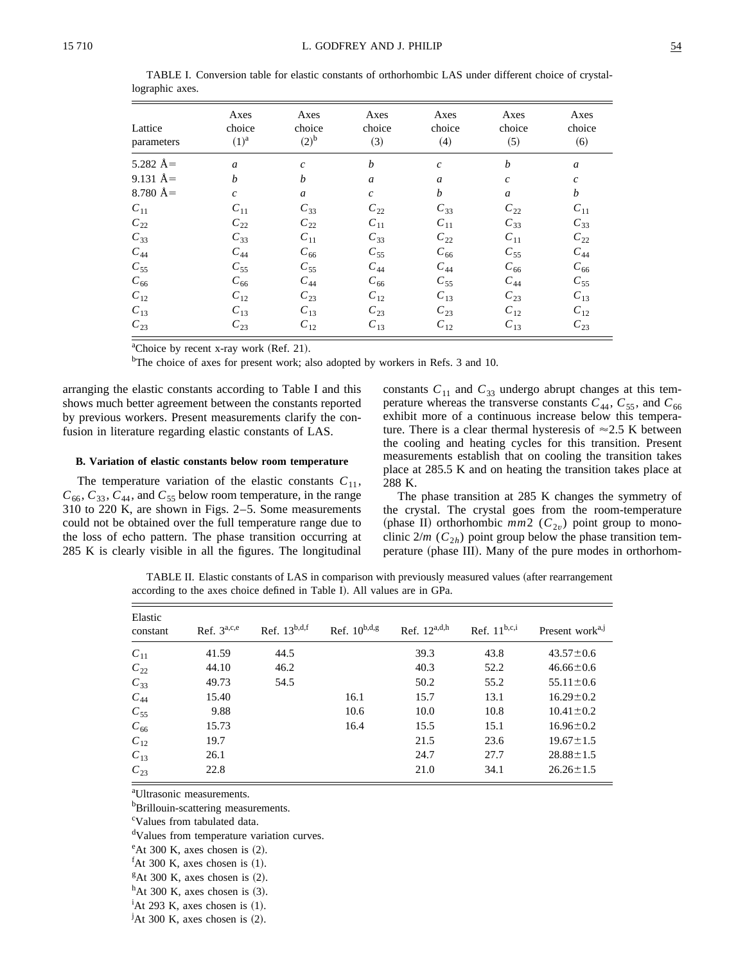| Lattice<br>parameters | Axes<br>choice<br>$(1)^a$   | Axes<br>choice<br>$(2)^{b}$ | Axes<br>choice<br>(3) | Axes<br>choice<br>(4) | Axes<br>choice<br>(5) | Axes<br>choice<br>(6) |
|-----------------------|-----------------------------|-----------------------------|-----------------------|-----------------------|-----------------------|-----------------------|
| 5.282 $A=$            | $\mathfrak{a}$              | $\mathfrak c$               | b                     | $\mathfrak c$         | b                     | $\boldsymbol{a}$      |
| 9.131 $A=$            | $\boldsymbol{b}$            | b                           | $\mathfrak a$         | a                     | $\boldsymbol{c}$      | $\mathfrak{c}$        |
| 8.780 $\AA =$         | $\mathcal{C}_{\mathcal{C}}$ | $\boldsymbol{a}$            | $\mathcal{C}$         | b                     | $\boldsymbol{a}$      | $\boldsymbol{b}$      |
| $C_{11}$              | $C_{11}$                    | $C_{33}$                    | $C_{22}$              | $C_{33}$              | $C_{22}$              | $C_{11}$              |
| $C_{22}$              | $C_{22}$                    | $C_{22}$                    | $C_{11}$              | $C_{11}$              | $C_{33}$              | $C_{33}$              |
| $C_{33}$              | $C_{33}$                    | $C_{11}$                    | $C_{33}$              | $C_{22}$              | $C_{11}$              | $C_{22}$              |
| $C_{44}$              | $C_{44}$                    | $C_{66}$                    | $C_{55}$              | $C_{66}$              | $C_{55}$              | $C_{44}$              |
| $C_{55}$              | $C_{55}$                    | $C_{55}$                    | $C_{44}$              | $C_{44}$              | $C_{66}$              | $C_{66}$              |
| $C_{66}$              | $C_{66}$                    | $C_{44}$                    | $C_{66}$              | $C_{55}$              | $C_{44}$              | $C_{55}$              |
| $C_{12}$              | $C_{12}$                    | $C_{23}$                    | $C_{12}$              | $C_{13}$              | $C_{23}$              | $C_{13}$              |
| $C_{13}$              | $C_{13}$                    | $C_{13}$                    | $C_{23}$              | $C_{23}$              | $C_{12}$              | $C_{12}$              |
| $C_{23}$              | $C_{23}$                    | $C_{12}$                    | $C_{13}$              | $C_{12}$              | $C_{13}$              | $C_{23}$              |

TABLE I. Conversion table for elastic constants of orthorhombic LAS under different choice of crystallographic axes.

<sup>a</sup>Choice by recent x-ray work (Ref. 21).

<sup>b</sup>The choice of axes for present work; also adopted by workers in Refs. 3 and 10.

arranging the elastic constants according to Table I and this shows much better agreement between the constants reported by previous workers. Present measurements clarify the confusion in literature regarding elastic constants of LAS.

### B. Variation of elastic constants below room temperature

The temperature variation of the elastic constants  $C_{11}$ ,  $C_{66}$ ,  $C_{33}$ ,  $C_{44}$ , and  $C_{55}$  below room temperature, in the range 310 to 220 K, are shown in Figs.  $2-5$ . Some measurements could not be obtained over the full temperature range due to the loss of echo pattern. The phase transition occurring at 285 K is clearly visible in all the figures. The longitudinal constants  $C_{11}$  and  $C_{33}$  undergo abrupt changes at this temperature whereas the transverse constants  $C_{44}$ ,  $C_{55}$ , and  $C_{66}$ exhibit more of a continuous increase below this temperature. There is a clear thermal hysteresis of  $\approx$ 2.5 K between the cooling and heating cycles for this transition. Present measurements establish that on cooling the transition takes place at 285.5 K and on heating the transition takes place at 288 K.

The phase transition at 285 K changes the symmetry of the crystal. The crystal goes from the room-temperature (phase II) orthorhombic  $mm2$  ( $C_{2v}$ ) point group to monoclinic  $2/m$  ( $C_{2h}$ ) point group below the phase transition temperature (phase III). Many of the pure modes in orthorhom-

TABLE II. Elastic constants of LAS in comparison with previously measured values (after rearrangement according to the axes choice defined in Table I). All values are in GPa.

| Elastic<br>constant | Ref. $3^{a,c,e}$ | Ref. $13^{b,d,f}$ | Ref. $10^{b,d,g}$ | Ref. $12^{a,d,h}$ | Ref. $11^{b,c,i}$ | Present work <sup>a, J</sup> |
|---------------------|------------------|-------------------|-------------------|-------------------|-------------------|------------------------------|
| $C_{11}$            | 41.59            | 44.5              |                   | 39.3              | 43.8              | $43.57 \pm 0.6$              |
| $C_{22}$            | 44.10            | 46.2              |                   | 40.3              | 52.2              | $46.66 \pm 0.6$              |
| $C_{33}$            | 49.73            | 54.5              |                   | 50.2              | 55.2              | $55.11 \pm 0.6$              |
| $C_{44}$            | 15.40            |                   | 16.1              | 15.7              | 13.1              | $16.29 \pm 0.2$              |
| $C_{55}$            | 9.88             |                   | 10.6              | 10.0              | 10.8              | $10.41 \pm 0.2$              |
| $C_{66}$            | 15.73            |                   | 16.4              | 15.5              | 15.1              | $16.96 \pm 0.2$              |
| $C_{12}$            | 19.7             |                   |                   | 21.5              | 23.6              | $19.67 \pm 1.5$              |
| $C_{13}$            | 26.1             |                   |                   | 24.7              | 27.7              | $28.88 \pm 1.5$              |
| $C_{23}$            | 22.8             |                   |                   | 21.0              | 34.1              | $26.26 \pm 1.5$              |

<sup>a</sup>Ultrasonic measurements.

<sup>b</sup>Brillouin-scattering measurements.

<sup>c</sup>Values from tabulated data.

<sup>d</sup>Values from temperature variation curves.

 $\textdegree$ At 300 K, axes chosen is (2).

 ${}^f$ At 300 K, axes chosen is (1).

 ${}^g$ At 300 K, axes chosen is (2).

 $^h$ At 300 K, axes chosen is (3).

<sup>&</sup>lt;sup>i</sup>At 293 K, axes chosen is  $(1)$ .

 ${}^{j}$ At 300 K, axes chosen is (2).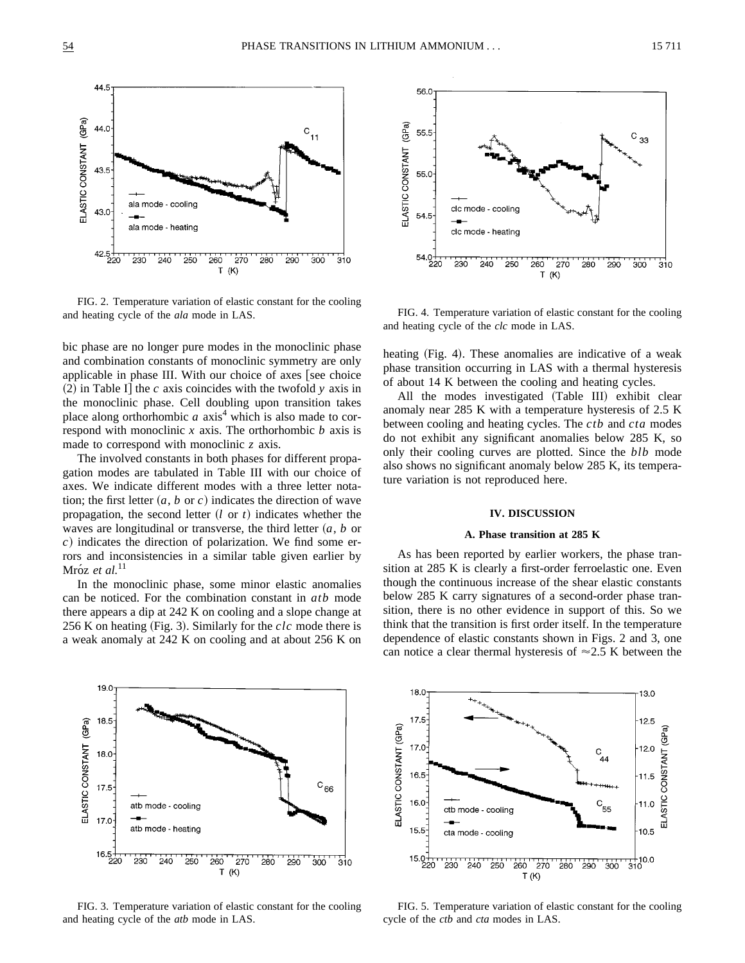

FIG. 2. Temperature variation of elastic constant for the cooling and heating cycle of the *ala* mode in LAS.

bic phase are no longer pure modes in the monoclinic phase and combination constants of monoclinic symmetry are only applicable in phase III. With our choice of axes  $\lceil$  see choice  $(2)$  in Table I] the *c* axis coincides with the twofold *y* axis in the monoclinic phase. Cell doubling upon transition takes place along orthorhombic  $a$  axis<sup>4</sup> which is also made to correspond with monoclinic *x* axis. The orthorhombic *b* axis is made to correspond with monoclinic *z* axis.

The involved constants in both phases for different propagation modes are tabulated in Table III with our choice of axes. We indicate different modes with a three letter notation; the first letter  $(a, b \text{ or } c)$  indicates the direction of wave propagation, the second letter  $(l \text{ or } t)$  indicates whether the waves are longitudinal or transverse, the third letter  $(a, b)$  or *c*) indicates the direction of polarization. We find some errors and inconsistencies in a similar table given earlier by Mróz et al.<sup>11</sup>

In the monoclinic phase, some minor elastic anomalies can be noticed. For the combination constant in *atb* mode there appears a dip at 242 K on cooling and a slope change at 256 K on heating  $(Fig. 3)$ . Similarly for the *clc* mode there is a weak anomaly at 242 K on cooling and at about 256 K on



FIG. 4. Temperature variation of elastic constant for the cooling and heating cycle of the *clc* mode in LAS.

heating (Fig. 4). These anomalies are indicative of a weak phase transition occurring in LAS with a thermal hysteresis of about 14 K between the cooling and heating cycles.

All the modes investigated (Table III) exhibit clear anomaly near 285 K with a temperature hysteresis of 2.5 K between cooling and heating cycles. The *ctb* and *cta* modes do not exhibit any significant anomalies below 285 K, so only their cooling curves are plotted. Since the *blb* mode also shows no significant anomaly below 285 K, its temperature variation is not reproduced here.

# **IV. DISCUSSION**

#### **A. Phase transition at 285 K**

As has been reported by earlier workers, the phase transition at 285 K is clearly a first-order ferroelastic one. Even though the continuous increase of the shear elastic constants below 285 K carry signatures of a second-order phase transition, there is no other evidence in support of this. So we think that the transition is first order itself. In the temperature dependence of elastic constants shown in Figs. 2 and 3, one can notice a clear thermal hysteresis of  $\approx$  2.5 K between the



FIG. 3. Temperature variation of elastic constant for the cooling and heating cycle of the *atb* mode in LAS.



FIG. 5. Temperature variation of elastic constant for the cooling cycle of the *ctb* and *cta* modes in LAS.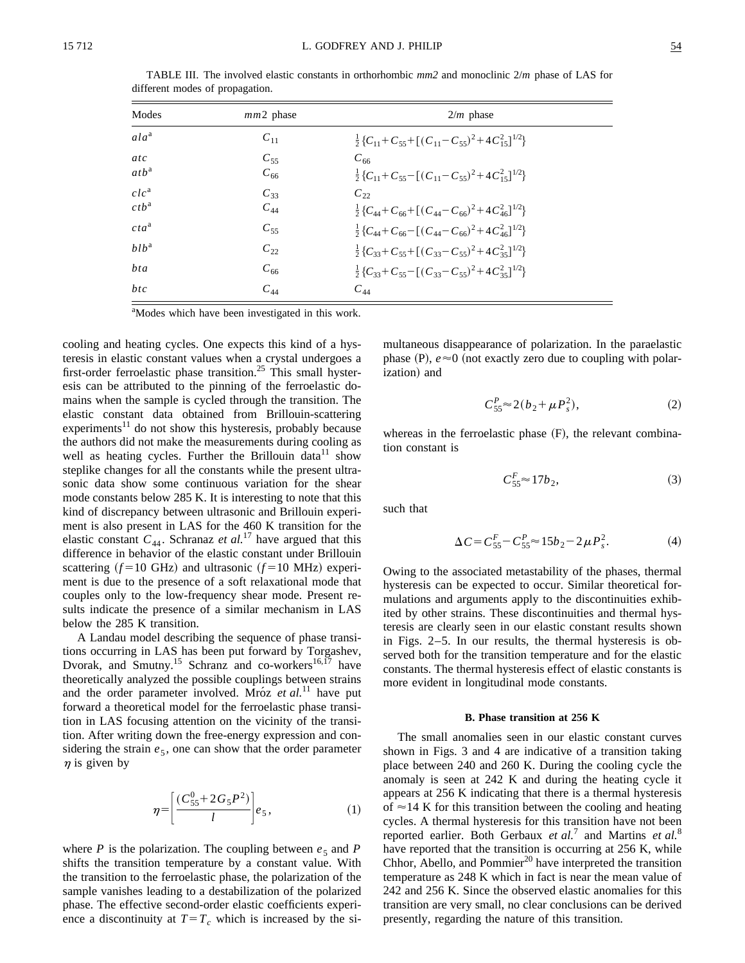| Modes            | $mm2$ phase | $2/m$ phase                                                                                                                                          |
|------------------|-------------|------------------------------------------------------------------------------------------------------------------------------------------------------|
| $ala^a$          | $C_{11}$    | $\frac{1}{2}$ {C <sub>11</sub> +C <sub>55</sub> +[(C <sub>11</sub> -C <sub>55</sub> ) <sup>2</sup> +4C <sup>2</sup> <sub>15</sub> ] <sup>1/2</sup> } |
| atc              | $C_{55}$    | $C_{66}$                                                                                                                                             |
| atb <sup>a</sup> | $C_{66}$    | $\frac{1}{2}$ {C <sub>11</sub> +C <sub>55</sub> -[(C <sub>11</sub> -C <sub>55</sub> ) <sup>2</sup> +4C <sup>2</sup> <sub>15</sub> ] <sup>1/2</sup> } |
| $clc^a$          | $C_{33}$    | $C_{22}$                                                                                                                                             |
| ctb <sup>a</sup> | $C_{44}$    | $\frac{1}{2}$ { $C_{44}$ + $C_{66}$ + $[(C_{44}-C_{66})^2+4C_{46}^2]^{1/2}$ }                                                                        |
| $cta^a$          | $C_{55}$    | $\frac{1}{2}$ { $C_{44}$ + $C_{66}$ - $[(C_{44}-C_{66})^2+4C_{46}^2]^{1/2}$ }                                                                        |
| $hlb^a$          | $C_{22}$    | $\frac{1}{2}$ {C <sub>33</sub> +C <sub>55</sub> +[(C <sub>33</sub> -C <sub>55</sub> ) <sup>2</sup> +4C <sup>2</sup> <sub>35</sub> ] <sup>1/2</sup> } |
| bta              | $C_{66}$    | $\frac{1}{2}$ {C <sub>33</sub> +C <sub>55</sub> -[(C <sub>33</sub> -C <sub>55</sub> ) <sup>2</sup> +4C <sup>2</sup> <sub>35</sub> ] <sup>1/2</sup> } |
| btc              | $C_{44}$    | $C_{44}$                                                                                                                                             |

TABLE III. The involved elastic constants in orthorhombic *mm2* and monoclinic 2/*m* phase of LAS for different modes of propagation.

<sup>a</sup>Modes which have been investigated in this work.

cooling and heating cycles. One expects this kind of a hysteresis in elastic constant values when a crystal undergoes a first-order ferroelastic phase transition.<sup>25</sup> This small hysteresis can be attributed to the pinning of the ferroelastic domains when the sample is cycled through the transition. The elastic constant data obtained from Brillouin-scattering experiments $11$  do not show this hysteresis, probably because the authors did not make the measurements during cooling as well as heating cycles. Further the Brillouin data<sup>11</sup> show steplike changes for all the constants while the present ultrasonic data show some continuous variation for the shear mode constants below 285 K. It is interesting to note that this kind of discrepancy between ultrasonic and Brillouin experiment is also present in LAS for the 460 K transition for the elastic constant  $C_{44}$ . Schranaz *et al.*<sup>17</sup> have argued that this difference in behavior of the elastic constant under Brillouin scattering  $(f=10 \text{ GHz})$  and ultrasonic  $(f=10 \text{ MHz})$  experiment is due to the presence of a soft relaxational mode that couples only to the low-frequency shear mode. Present results indicate the presence of a similar mechanism in LAS below the 285 K transition.

A Landau model describing the sequence of phase transitions occurring in LAS has been put forward by Torgashev, Dvorak, and Smutny.<sup>15</sup> Schranz and co-workers<sup>16,17</sup> have theoretically analyzed the possible couplings between strains and the order parameter involved. Mroz *et al.*<sup>11</sup> have put forward a theoretical model for the ferroelastic phase transition in LAS focusing attention on the vicinity of the transition. After writing down the free-energy expression and considering the strain  $e_5$ , one can show that the order parameter  $\eta$  is given by

$$
\eta = \left[\frac{(C_{55}^0 + 2G_5P^2)}{l}\right]e_5,\tag{1}
$$

where *P* is the polarization. The coupling between  $e_5$  and *P* shifts the transition temperature by a constant value. With the transition to the ferroelastic phase, the polarization of the sample vanishes leading to a destabilization of the polarized phase. The effective second-order elastic coefficients experience a discontinuity at  $T=T_c$  which is increased by the simultaneous disappearance of polarization. In the paraelastic phase  $(P)$ ,  $e \approx 0$  (not exactly zero due to coupling with polarization) and

$$
C_{55}^{P} \approx 2(b_2 + \mu P_s^2), \tag{2}
$$

whereas in the ferroelastic phase  $(F)$ , the relevant combination constant is

$$
C_{55}^F \approx 17b_2,\tag{3}
$$

such that

$$
\Delta C = C_{55}^F - C_{55}^P \approx 15b_2 - 2\mu P_s^2. \tag{4}
$$

Owing to the associated metastability of the phases, thermal hysteresis can be expected to occur. Similar theoretical formulations and arguments apply to the discontinuities exhibited by other strains. These discontinuities and thermal hysteresis are clearly seen in our elastic constant results shown in Figs. 2–5. In our results, the thermal hysteresis is observed both for the transition temperature and for the elastic constants. The thermal hysteresis effect of elastic constants is more evident in longitudinal mode constants.

### **B. Phase transition at 256 K**

The small anomalies seen in our elastic constant curves shown in Figs. 3 and 4 are indicative of a transition taking place between 240 and 260 K. During the cooling cycle the anomaly is seen at 242 K and during the heating cycle it appears at 256 K indicating that there is a thermal hysteresis of  $\approx$  14 K for this transition between the cooling and heating cycles. A thermal hysteresis for this transition have not been reported earlier. Both Gerbaux *et al.*<sup>7</sup> and Martins *et al.*<sup>8</sup> have reported that the transition is occurring at 256 K, while Chhor, Abello, and Pommier $^{20}$  have interpreted the transition temperature as 248 K which in fact is near the mean value of 242 and 256 K. Since the observed elastic anomalies for this transition are very small, no clear conclusions can be derived presently, regarding the nature of this transition.